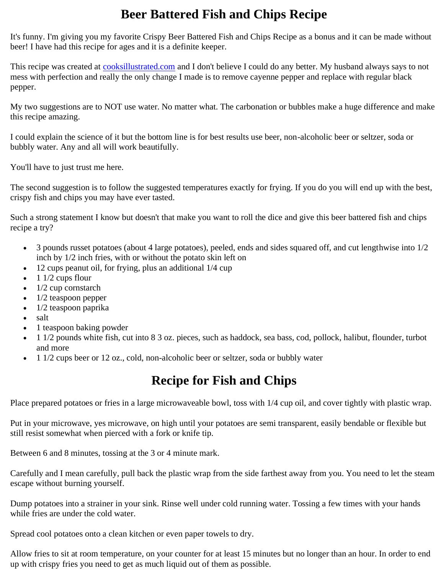## **Beer Battered Fish and Chips Recipe**

It's funny. I'm giving you my favorite Crispy Beer Battered Fish and Chips Recipe as a bonus and it can be made without beer! I have had this recipe for ages and it is a definite keeper.

This recipe was created at [cooksillustrated.com](https://www.cooksillustrated.com/) and I don't believe I could do any better. My husband always says to not mess with perfection and really the only change I made is to remove cayenne pepper and replace with regular black pepper.

My two suggestions are to NOT use water. No matter what. The carbonation or bubbles make a huge difference and make this recipe amazing.

I could explain the science of it but the bottom line is for best results use beer, non-alcoholic beer or seltzer, soda or bubbly water. Any and all will work beautifully.

You'll have to just trust me here.

The second suggestion is to follow the suggested temperatures exactly for frying. If you do you will end up with the best, crispy fish and chips you may have ever tasted.

Such a strong statement I know but doesn't that make you want to roll the dice and give this beer battered fish and chips recipe a try?

- $\bullet$  3 pounds russet potatoes (about 4 large potatoes), peeled, ends and sides squared off, and cut lengthwise into  $1/2$ inch by 1/2 inch fries, with or without the potato skin left on
- 12 cups peanut oil, for frying, plus an additional 1/4 cup
- $\bullet$  1 1/2 cups flour
- $\bullet$  1/2 cup cornstarch
- 1/2 teaspoon pepper
- 1/2 teaspoon paprika
- salt
- 1 teaspoon baking powder
- 1 1/2 pounds white fish, cut into 8 3 oz. pieces, such as haddock, sea bass, cod, pollock, halibut, flounder, turbot and more
- 1 1/2 cups beer or 12 oz., cold, non-alcoholic beer or seltzer, soda or bubbly water

## **Recipe for Fish and Chips**

Place prepared potatoes or fries in a large microwaveable bowl, toss with 1/4 cup oil, and cover tightly with plastic wrap.

Put in your microwave, yes microwave, on high until your potatoes are semi transparent, easily bendable or flexible but still resist somewhat when pierced with a fork or knife tip.

Between 6 and 8 minutes, tossing at the 3 or 4 minute mark.

Carefully and I mean carefully, pull back the plastic wrap from the side farthest away from you. You need to let the steam escape without burning yourself.

Dump potatoes into a strainer in your sink. Rinse well under cold running water. Tossing a few times with your hands while fries are under the cold water.

Spread cool potatoes onto a clean kitchen or even paper towels to dry.

Allow fries to sit at room temperature, on your counter for at least 15 minutes but no longer than an hour. In order to end up with crispy fries you need to get as much liquid out of them as possible.